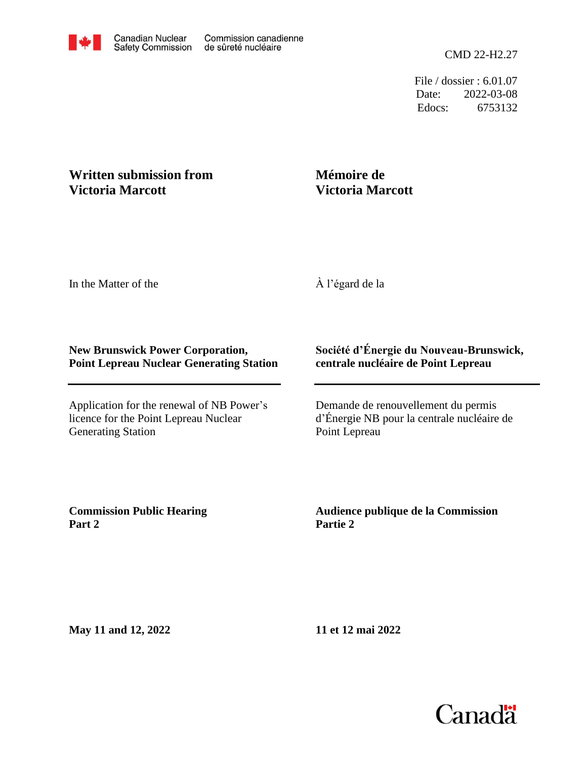File / dossier : 6.01.07 Date: 2022-03-08 Edocs: 6753132

## **Written submission from Victoria Marcott**

## **Mémoire de Victoria Marcott**

In the Matter of the

À l'égard de la

## **New Brunswick Power Corporation, Point Lepreau Nuclear Generating Station**

Application for the renewal of NB Power's licence for the Point Lepreau Nuclear Generating Station

## **Société d'Énergie du Nouveau-Brunswick, centrale nucléaire de Point Lepreau**

Demande de renouvellement du permis d'Énergie NB pour la centrale nucléaire de Point Lepreau

**Commission Public Hearing Part 2**

**Audience publique de la Commission Partie 2**

**May 11 and 12, 2022**

**11 et 12 mai 2022**